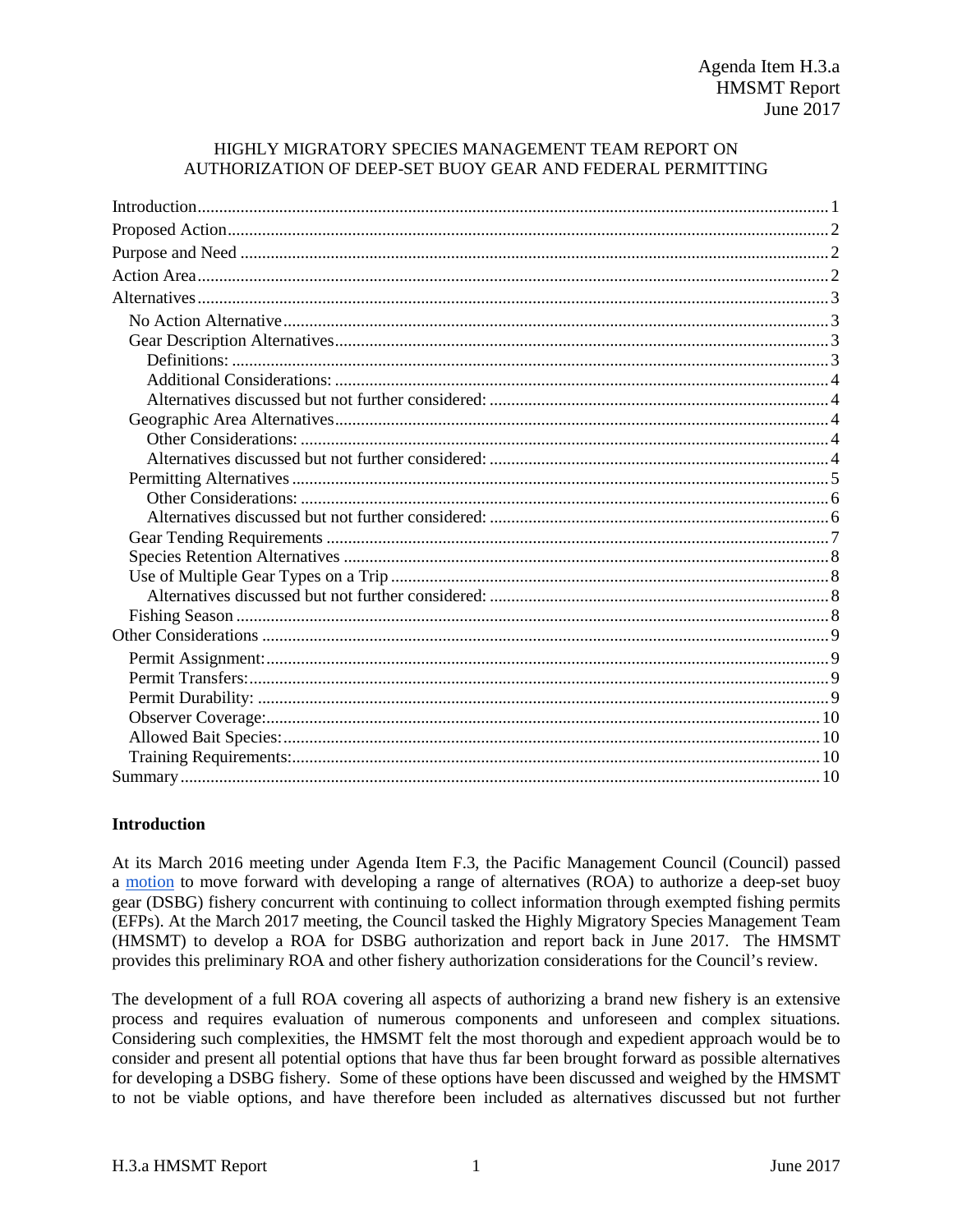## HIGHLY MIGRATORY SPECIES MANAGEMENT TEAM REPORT ON AUTHORIZATION OF DEEP-SET BUOY GEAR AND FEDERAL PERMITTING

## <span id="page-0-0"></span>**Introduction**

At its March 2016 meeting under Agenda Item F.3, the Pacific Management Council (Council) passed a [motion](http://www.pcouncil.org/wp-content/uploads/2016/03/F3_CouncilAction_MAR2016.pdf) to move forward with developing a range of alternatives (ROA) to authorize a deep-set buoy gear (DSBG) fishery concurrent with continuing to collect information through exempted fishing permits (EFPs). At the March 2017 meeting, the Council tasked the Highly Migratory Species Management Team (HMSMT) to develop a ROA for DSBG authorization and report back in June 2017. The HMSMT provides this preliminary ROA and other fishery authorization considerations for the Council's review.

The development of a full ROA covering all aspects of authorizing a brand new fishery is an extensive process and requires evaluation of numerous components and unforeseen and complex situations. Considering such complexities, the HMSMT felt the most thorough and expedient approach would be to consider and present all potential options that have thus far been brought forward as possible alternatives for developing a DSBG fishery. Some of these options have been discussed and weighed by the HMSMT to not be viable options, and have therefore been included as alternatives discussed but not further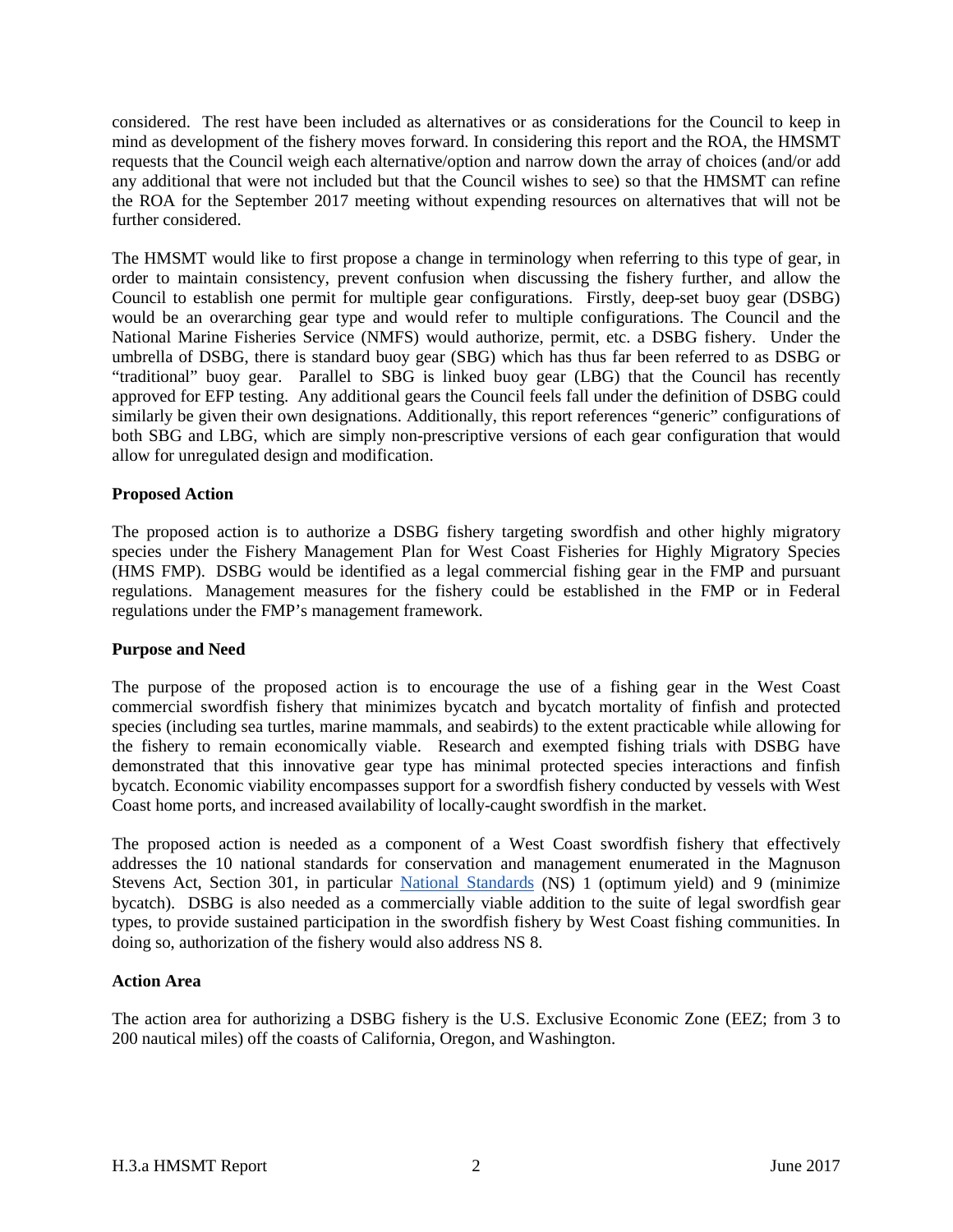considered. The rest have been included as alternatives or as considerations for the Council to keep in mind as development of the fishery moves forward. In considering this report and the ROA, the HMSMT requests that the Council weigh each alternative/option and narrow down the array of choices (and/or add any additional that were not included but that the Council wishes to see) so that the HMSMT can refine the ROA for the September 2017 meeting without expending resources on alternatives that will not be further considered.

The HMSMT would like to first propose a change in terminology when referring to this type of gear, in order to maintain consistency, prevent confusion when discussing the fishery further, and allow the Council to establish one permit for multiple gear configurations. Firstly, deep-set buoy gear (DSBG) would be an overarching gear type and would refer to multiple configurations. The Council and the National Marine Fisheries Service (NMFS) would authorize, permit, etc. a DSBG fishery. Under the umbrella of DSBG, there is standard buoy gear (SBG) which has thus far been referred to as DSBG or "traditional" buoy gear. Parallel to SBG is linked buoy gear (LBG) that the Council has recently approved for EFP testing. Any additional gears the Council feels fall under the definition of DSBG could similarly be given their own designations. Additionally, this report references "generic" configurations of both SBG and LBG, which are simply non-prescriptive versions of each gear configuration that would allow for unregulated design and modification.

## <span id="page-1-0"></span>**Proposed Action**

The proposed action is to authorize a DSBG fishery targeting swordfish and other highly migratory species under the Fishery Management Plan for West Coast Fisheries for Highly Migratory Species (HMS FMP). DSBG would be identified as a legal commercial fishing gear in the FMP and pursuant regulations. Management measures for the fishery could be established in the FMP or in Federal regulations under the FMP's management framework.

#### <span id="page-1-1"></span>**Purpose and Need**

The purpose of the proposed action is to encourage the use of a fishing gear in the West Coast commercial swordfish fishery that minimizes bycatch and bycatch mortality of finfish and protected species (including sea turtles, marine mammals, and seabirds) to the extent practicable while allowing for the fishery to remain economically viable. Research and exempted fishing trials with DSBG have demonstrated that this innovative gear type has minimal protected species interactions and finfish bycatch. Economic viability encompasses support for a swordfish fishery conducted by vessels with West Coast home ports, and increased availability of locally-caught swordfish in the market.

The proposed action is needed as a component of a West Coast swordfish fishery that effectively addresses the 10 national standards for conservation and management enumerated in the Magnuson Stevens Act, Section 301, in particular [National Standards](http://www.fisheries.noaa.gov/sfa/laws_policies/national_standards/) (NS) 1 (optimum yield) and 9 (minimize bycatch). DSBG is also needed as a commercially viable addition to the suite of legal swordfish gear types, to provide sustained participation in the swordfish fishery by West Coast fishing communities. In doing so, authorization of the fishery would also address NS 8.

#### <span id="page-1-2"></span>**Action Area**

The action area for authorizing a DSBG fishery is the U.S. Exclusive Economic Zone (EEZ; from 3 to 200 nautical miles) off the coasts of California, Oregon, and Washington.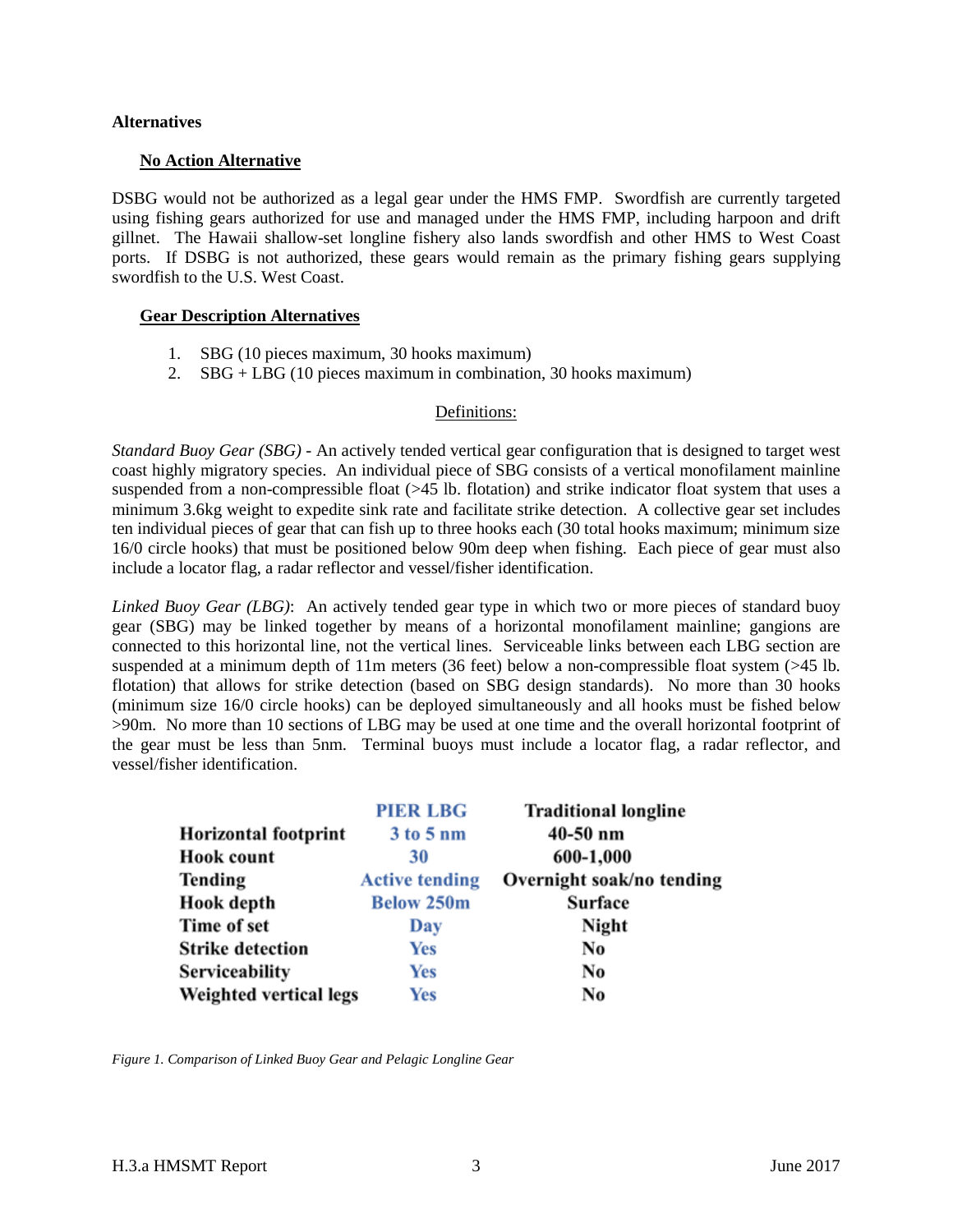### <span id="page-2-0"></span>**Alternatives**

### <span id="page-2-1"></span>**No Action Alternative**

DSBG would not be authorized as a legal gear under the HMS FMP. Swordfish are currently targeted using fishing gears authorized for use and managed under the HMS FMP, including harpoon and drift gillnet. The Hawaii shallow-set longline fishery also lands swordfish and other HMS to West Coast ports. If DSBG is not authorized, these gears would remain as the primary fishing gears supplying swordfish to the U.S. West Coast.

## <span id="page-2-2"></span>**Gear Description Alternatives**

- 1. SBG (10 pieces maximum, 30 hooks maximum)
- 2. SBG + LBG (10 pieces maximum in combination, 30 hooks maximum)

## Definitions:

<span id="page-2-3"></span>*Standard Buoy Gear (SBG) -* An actively tended vertical gear configuration that is designed to target west coast highly migratory species. An individual piece of SBG consists of a vertical monofilament mainline suspended from a non-compressible float (>45 lb. flotation) and strike indicator float system that uses a minimum 3.6kg weight to expedite sink rate and facilitate strike detection. A collective gear set includes ten individual pieces of gear that can fish up to three hooks each (30 total hooks maximum; minimum size 16/0 circle hooks) that must be positioned below 90m deep when fishing. Each piece of gear must also include a locator flag, a radar reflector and vessel/fisher identification.

*Linked Buoy Gear (LBG)*: An actively tended gear type in which two or more pieces of standard buoy gear (SBG) may be linked together by means of a horizontal monofilament mainline; gangions are connected to this horizontal line, not the vertical lines. Serviceable links between each LBG section are suspended at a minimum depth of 11m meters (36 feet) below a non-compressible float system (>45 lb. flotation) that allows for strike detection (based on SBG design standards). No more than 30 hooks (minimum size 16/0 circle hooks) can be deployed simultaneously and all hooks must be fished below >90m. No more than 10 sections of LBG may be used at one time and the overall horizontal footprint of the gear must be less than 5nm. Terminal buoys must include a locator flag, a radar reflector, and vessel/fisher identification.

|                             | <b>PIER LBG</b>       | <b>Traditional longline</b> |
|-----------------------------|-----------------------|-----------------------------|
| <b>Horizontal footprint</b> | 3 to 5 nm             | $40-50$ nm                  |
| <b>Hook count</b>           | 30                    | 600-1,000                   |
| <b>Tending</b>              | <b>Active tending</b> | Overnight soak/no tending   |
| <b>Hook</b> depth           | <b>Below 250m</b>     | Surface                     |
| Time of set                 | Day                   | Night                       |
| <b>Strike detection</b>     | Yes                   | No                          |
| Serviceability              | Yes                   | No                          |
| Weighted vertical legs      | <b>Yes</b>            | No                          |

*Figure 1. Comparison of Linked Buoy Gear and Pelagic Longline Gear*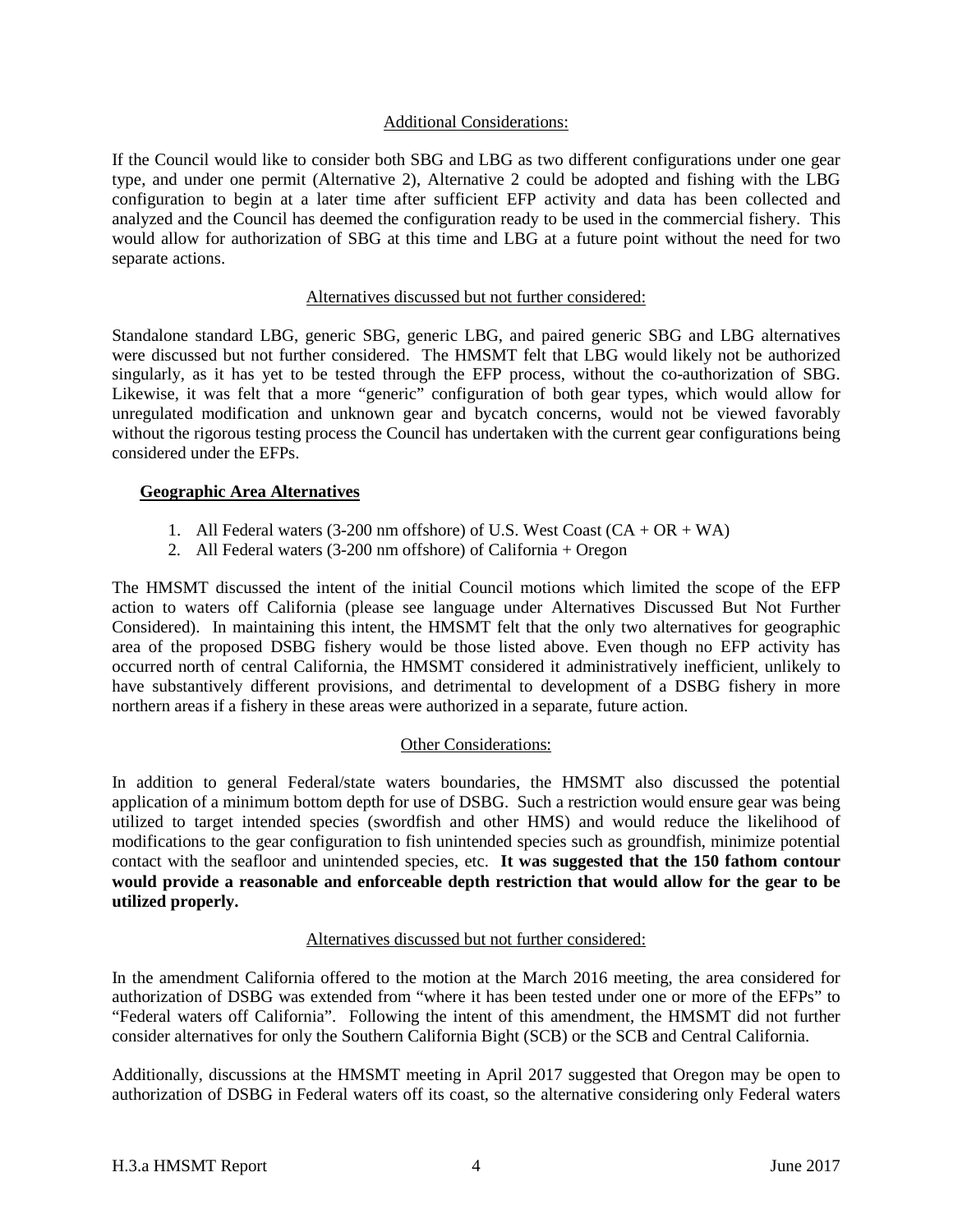## Additional Considerations:

<span id="page-3-0"></span>If the Council would like to consider both SBG and LBG as two different configurations under one gear type, and under one permit (Alternative 2), Alternative 2 could be adopted and fishing with the LBG configuration to begin at a later time after sufficient EFP activity and data has been collected and analyzed and the Council has deemed the configuration ready to be used in the commercial fishery. This would allow for authorization of SBG at this time and LBG at a future point without the need for two separate actions.

## Alternatives discussed but not further considered:

<span id="page-3-1"></span>Standalone standard LBG, generic SBG, generic LBG, and paired generic SBG and LBG alternatives were discussed but not further considered. The HMSMT felt that LBG would likely not be authorized singularly, as it has yet to be tested through the EFP process, without the co-authorization of SBG. Likewise, it was felt that a more "generic" configuration of both gear types, which would allow for unregulated modification and unknown gear and bycatch concerns, would not be viewed favorably without the rigorous testing process the Council has undertaken with the current gear configurations being considered under the EFPs.

## <span id="page-3-2"></span>**Geographic Area Alternatives**

- 1. All Federal waters (3-200 nm offshore) of U.S. West Coast  $(CA + OR + WA)$
- 2. All Federal waters (3-200 nm offshore) of California + Oregon

The HMSMT discussed the intent of the initial Council motions which limited the scope of the EFP action to waters off California (please see language under Alternatives Discussed But Not Further Considered). In maintaining this intent, the HMSMT felt that the only two alternatives for geographic area of the proposed DSBG fishery would be those listed above. Even though no EFP activity has occurred north of central California, the HMSMT considered it administratively inefficient, unlikely to have substantively different provisions, and detrimental to development of a DSBG fishery in more northern areas if a fishery in these areas were authorized in a separate, future action.

## Other Considerations:

<span id="page-3-3"></span>In addition to general Federal/state waters boundaries, the HMSMT also discussed the potential application of a minimum bottom depth for use of DSBG. Such a restriction would ensure gear was being utilized to target intended species (swordfish and other HMS) and would reduce the likelihood of modifications to the gear configuration to fish unintended species such as groundfish, minimize potential contact with the seafloor and unintended species, etc. **It was suggested that the 150 fathom contour would provide a reasonable and enforceable depth restriction that would allow for the gear to be utilized properly.**

## Alternatives discussed but not further considered:

<span id="page-3-4"></span>In the amendment California offered to the motion at the March 2016 meeting, the area considered for authorization of DSBG was extended from "where it has been tested under one or more of the EFPs" to "Federal waters off California". Following the intent of this amendment, the HMSMT did not further consider alternatives for only the Southern California Bight (SCB) or the SCB and Central California.

Additionally, discussions at the HMSMT meeting in April 2017 suggested that Oregon may be open to authorization of DSBG in Federal waters off its coast, so the alternative considering only Federal waters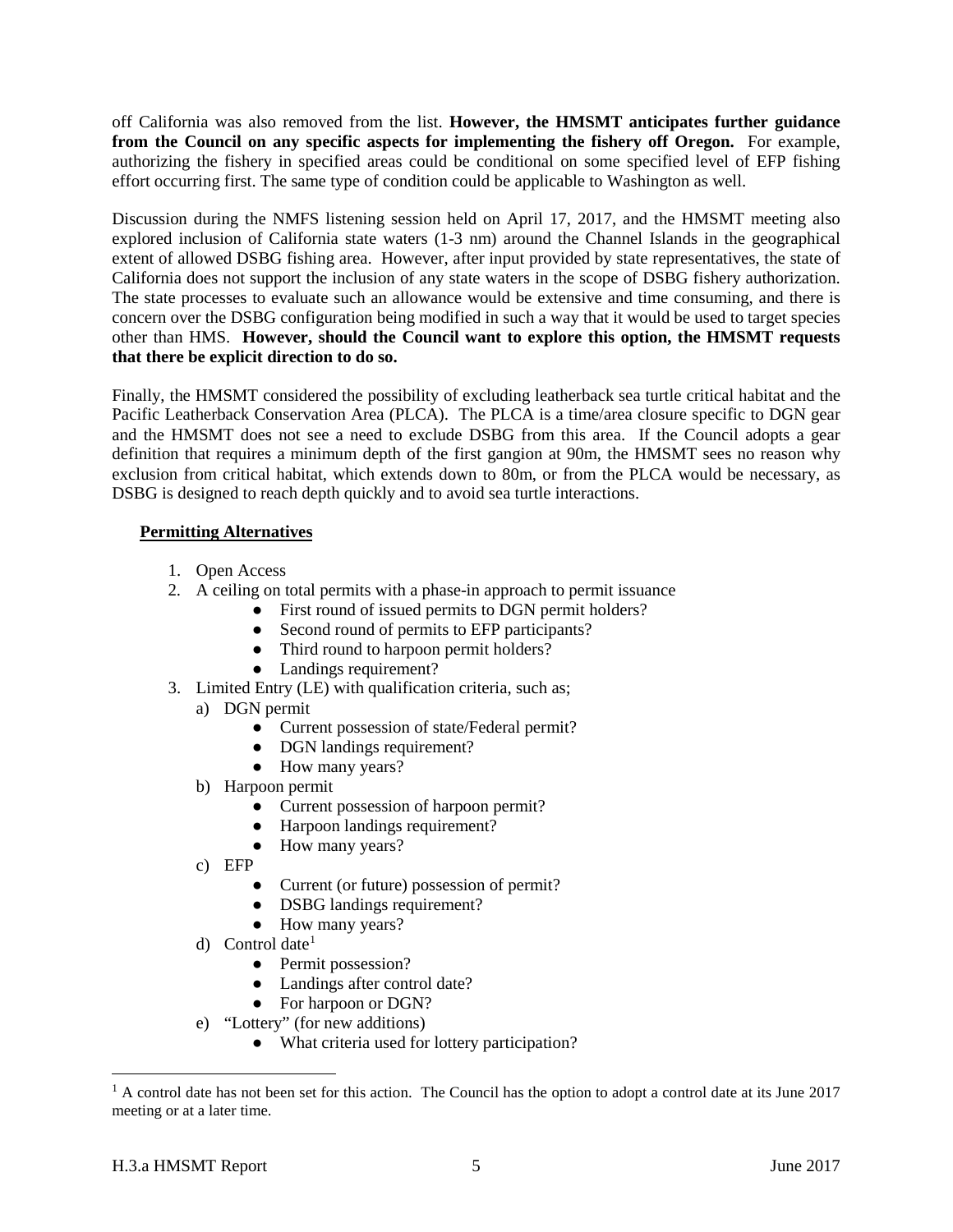off California was also removed from the list. **However, the HMSMT anticipates further guidance from the Council on any specific aspects for implementing the fishery off Oregon.** For example, authorizing the fishery in specified areas could be conditional on some specified level of EFP fishing effort occurring first. The same type of condition could be applicable to Washington as well.

Discussion during the NMFS listening session held on April 17, 2017, and the HMSMT meeting also explored inclusion of California state waters (1-3 nm) around the Channel Islands in the geographical extent of allowed DSBG fishing area. However, after input provided by state representatives, the state of California does not support the inclusion of any state waters in the scope of DSBG fishery authorization. The state processes to evaluate such an allowance would be extensive and time consuming, and there is concern over the DSBG configuration being modified in such a way that it would be used to target species other than HMS. **However, should the Council want to explore this option, the HMSMT requests that there be explicit direction to do so.**

Finally, the HMSMT considered the possibility of excluding leatherback sea turtle critical habitat and the Pacific Leatherback Conservation Area (PLCA). The PLCA is a time/area closure specific to DGN gear and the HMSMT does not see a need to exclude DSBG from this area. If the Council adopts a gear definition that requires a minimum depth of the first gangion at 90m, the HMSMT sees no reason why exclusion from critical habitat, which extends down to 80m, or from the PLCA would be necessary, as DSBG is designed to reach depth quickly and to avoid sea turtle interactions.

# <span id="page-4-0"></span>**Permitting Alternatives**

- 1. Open Access
- 2. A ceiling on total permits with a phase-in approach to permit issuance
	- First round of issued permits to DGN permit holders?
	- Second round of permits to EFP participants?
	- Third round to harpoon permit holders?
	- Landings requirement?
- 3. Limited Entry (LE) with qualification criteria, such as;
	- a) DGN permit
		- Current possession of state/Federal permit?
		- DGN landings requirement?
		- How many years?
	- b) Harpoon permit
		- Current possession of harpoon permit?
		- Harpoon landings requirement?
		- How many years?
	- c) EFP
		- Current (or future) possession of permit?
		- DSBG landings requirement?
		- How many years?
	- d) Control date<sup>[1](#page-4-1)</sup>
		- Permit possession?
		- Landings after control date?
		- For harpoon or DGN?
	- e) "Lottery" (for new additions)
		- What criteria used for lottery participation?

<span id="page-4-1"></span> $1 \text{ A control date has not been set for this action.}$  The Council has the option to adopt a control date at its June 2017 meeting or at a later time.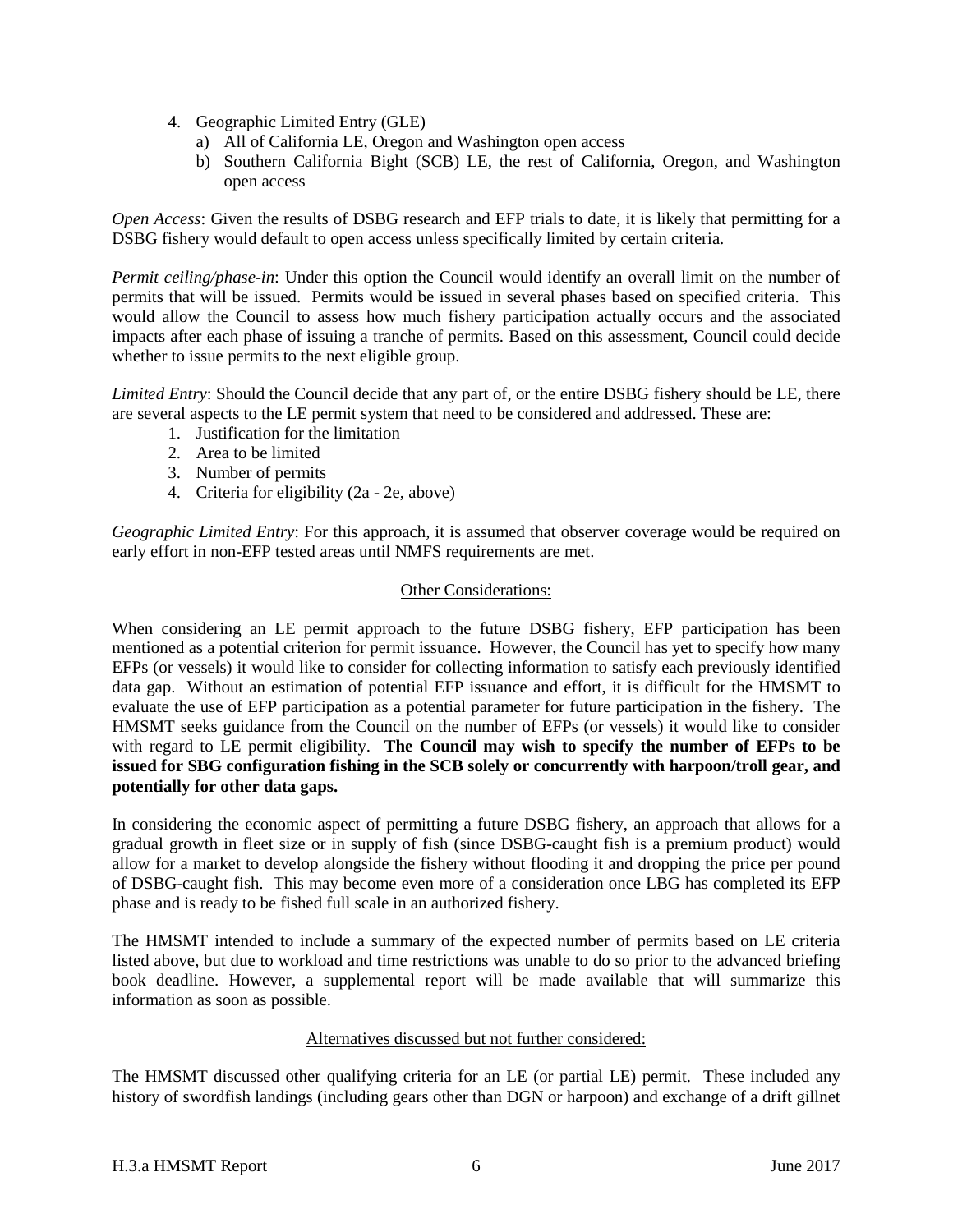- 4. Geographic Limited Entry (GLE)
	- a) All of California LE, Oregon and Washington open access
	- b) Southern California Bight (SCB) LE, the rest of California, Oregon, and Washington open access

*Open Access*: Given the results of DSBG research and EFP trials to date, it is likely that permitting for a DSBG fishery would default to open access unless specifically limited by certain criteria.

*Permit ceiling/phase-in*: Under this option the Council would identify an overall limit on the number of permits that will be issued. Permits would be issued in several phases based on specified criteria. This would allow the Council to assess how much fishery participation actually occurs and the associated impacts after each phase of issuing a tranche of permits. Based on this assessment, Council could decide whether to issue permits to the next eligible group.

*Limited Entry*: Should the Council decide that any part of, or the entire DSBG fishery should be LE, there are several aspects to the LE permit system that need to be considered and addressed. These are:

- 1. Justification for the limitation
- 2. Area to be limited
- 3. Number of permits
- 4. Criteria for eligibility (2a 2e, above)

*Geographic Limited Entry*: For this approach, it is assumed that observer coverage would be required on early effort in non-EFP tested areas until NMFS requirements are met.

## Other Considerations:

<span id="page-5-0"></span>When considering an LE permit approach to the future DSBG fishery, EFP participation has been mentioned as a potential criterion for permit issuance. However, the Council has yet to specify how many EFPs (or vessels) it would like to consider for collecting information to satisfy each previously identified data gap. Without an estimation of potential EFP issuance and effort, it is difficult for the HMSMT to evaluate the use of EFP participation as a potential parameter for future participation in the fishery. The HMSMT seeks guidance from the Council on the number of EFPs (or vessels) it would like to consider with regard to LE permit eligibility. **The Council may wish to specify the number of EFPs to be issued for SBG configuration fishing in the SCB solely or concurrently with harpoon/troll gear, and potentially for other data gaps.**

In considering the economic aspect of permitting a future DSBG fishery, an approach that allows for a gradual growth in fleet size or in supply of fish (since DSBG-caught fish is a premium product) would allow for a market to develop alongside the fishery without flooding it and dropping the price per pound of DSBG-caught fish. This may become even more of a consideration once LBG has completed its EFP phase and is ready to be fished full scale in an authorized fishery.

The HMSMT intended to include a summary of the expected number of permits based on LE criteria listed above, but due to workload and time restrictions was unable to do so prior to the advanced briefing book deadline. However, a supplemental report will be made available that will summarize this information as soon as possible.

## Alternatives discussed but not further considered:

<span id="page-5-1"></span>The HMSMT discussed other qualifying criteria for an LE (or partial LE) permit. These included any history of swordfish landings (including gears other than DGN or harpoon) and exchange of a drift gillnet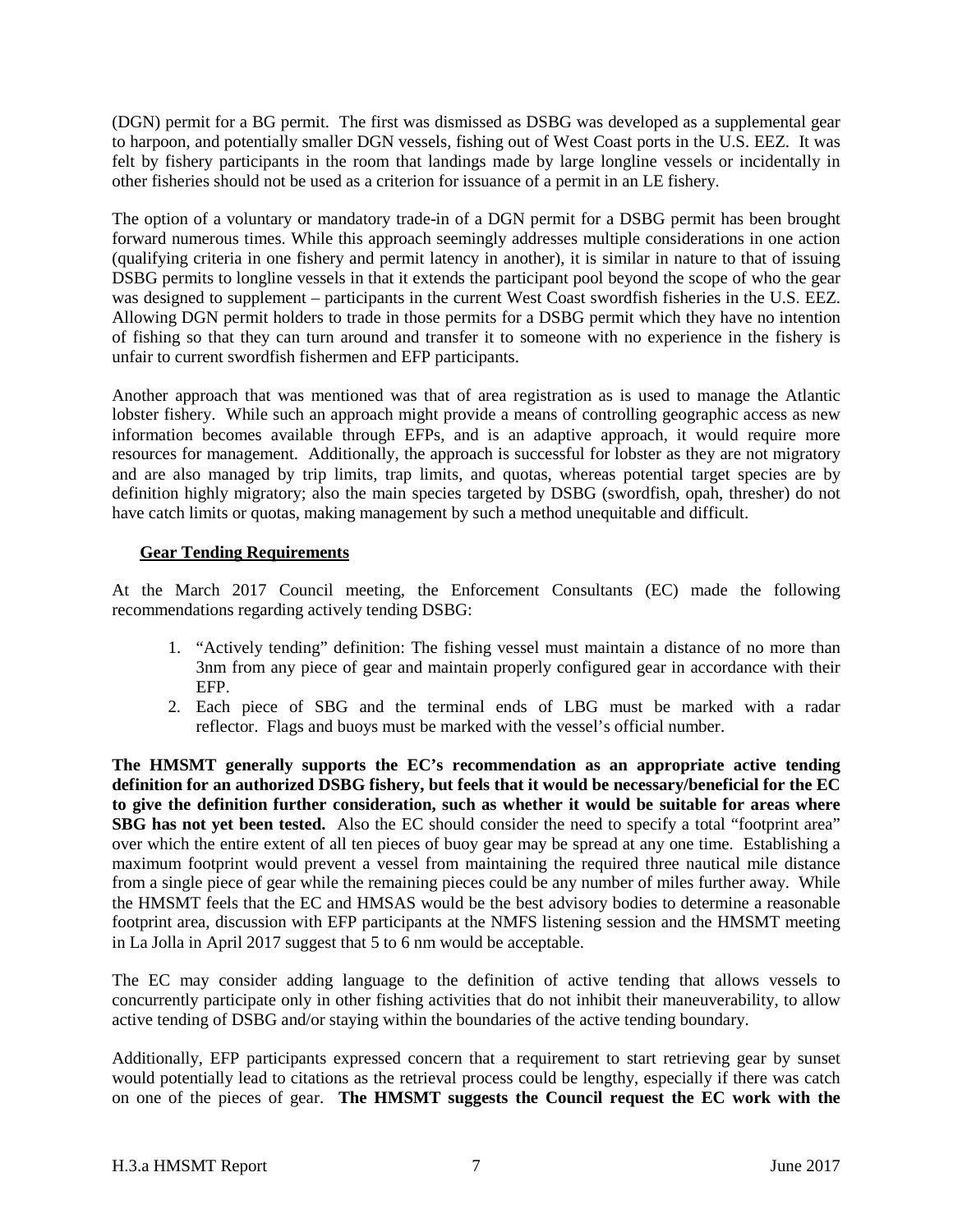(DGN) permit for a BG permit. The first was dismissed as DSBG was developed as a supplemental gear to harpoon, and potentially smaller DGN vessels, fishing out of West Coast ports in the U.S. EEZ. It was felt by fishery participants in the room that landings made by large longline vessels or incidentally in other fisheries should not be used as a criterion for issuance of a permit in an LE fishery.

The option of a voluntary or mandatory trade-in of a DGN permit for a DSBG permit has been brought forward numerous times. While this approach seemingly addresses multiple considerations in one action (qualifying criteria in one fishery and permit latency in another), it is similar in nature to that of issuing DSBG permits to longline vessels in that it extends the participant pool beyond the scope of who the gear was designed to supplement – participants in the current West Coast swordfish fisheries in the U.S. EEZ. Allowing DGN permit holders to trade in those permits for a DSBG permit which they have no intention of fishing so that they can turn around and transfer it to someone with no experience in the fishery is unfair to current swordfish fishermen and EFP participants.

Another approach that was mentioned was that of area registration as is used to manage the Atlantic lobster fishery. While such an approach might provide a means of controlling geographic access as new information becomes available through EFPs, and is an adaptive approach, it would require more resources for management. Additionally, the approach is successful for lobster as they are not migratory and are also managed by trip limits, trap limits, and quotas, whereas potential target species are by definition highly migratory; also the main species targeted by DSBG (swordfish, opah, thresher) do not have catch limits or quotas, making management by such a method unequitable and difficult.

# <span id="page-6-0"></span>**Gear Tending Requirements**

At the March 2017 Council meeting, the Enforcement Consultants (EC) made the following recommendations regarding actively tending DSBG:

- 1. "Actively tending" definition: The fishing vessel must maintain a distance of no more than 3nm from any piece of gear and maintain properly configured gear in accordance with their EFP.
- 2. Each piece of SBG and the terminal ends of LBG must be marked with a radar reflector. Flags and buoys must be marked with the vessel's official number.

**The HMSMT generally supports the EC's recommendation as an appropriate active tending definition for an authorized DSBG fishery, but feels that it would be necessary/beneficial for the EC to give the definition further consideration, such as whether it would be suitable for areas where SBG has not yet been tested.** Also the EC should consider the need to specify a total "footprint area" over which the entire extent of all ten pieces of buoy gear may be spread at any one time. Establishing a maximum footprint would prevent a vessel from maintaining the required three nautical mile distance from a single piece of gear while the remaining pieces could be any number of miles further away. While the HMSMT feels that the EC and HMSAS would be the best advisory bodies to determine a reasonable footprint area, discussion with EFP participants at the NMFS listening session and the HMSMT meeting in La Jolla in April 2017 suggest that 5 to 6 nm would be acceptable.

The EC may consider adding language to the definition of active tending that allows vessels to concurrently participate only in other fishing activities that do not inhibit their maneuverability, to allow active tending of DSBG and/or staying within the boundaries of the active tending boundary.

Additionally, EFP participants expressed concern that a requirement to start retrieving gear by sunset would potentially lead to citations as the retrieval process could be lengthy, especially if there was catch on one of the pieces of gear. **The HMSMT suggests the Council request the EC work with the**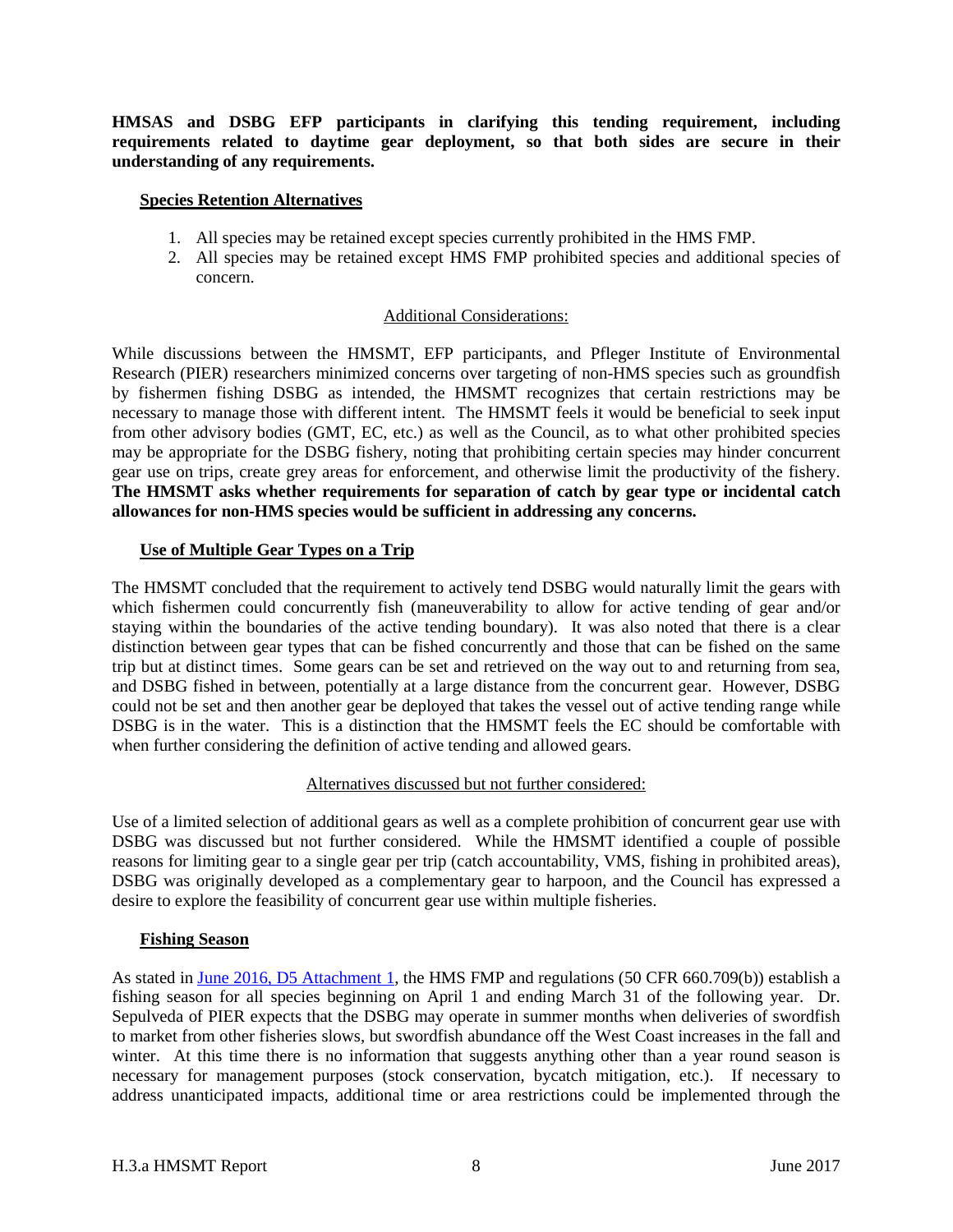**HMSAS and DSBG EFP participants in clarifying this tending requirement, including requirements related to daytime gear deployment, so that both sides are secure in their understanding of any requirements.**

### <span id="page-7-0"></span>**Species Retention Alternatives**

- 1. All species may be retained except species currently prohibited in the HMS FMP.
- 2. All species may be retained except HMS FMP prohibited species and additional species of concern.

# Additional Considerations:

While discussions between the HMSMT, EFP participants, and Pfleger Institute of Environmental Research (PIER) researchers minimized concerns over targeting of non-HMS species such as groundfish by fishermen fishing DSBG as intended, the HMSMT recognizes that certain restrictions may be necessary to manage those with different intent. The HMSMT feels it would be beneficial to seek input from other advisory bodies (GMT, EC, etc.) as well as the Council, as to what other prohibited species may be appropriate for the DSBG fishery, noting that prohibiting certain species may hinder concurrent gear use on trips, create grey areas for enforcement, and otherwise limit the productivity of the fishery. **The HMSMT asks whether requirements for separation of catch by gear type or incidental catch allowances for non-HMS species would be sufficient in addressing any concerns.**

## <span id="page-7-1"></span>**Use of Multiple Gear Types on a Trip**

The HMSMT concluded that the requirement to actively tend DSBG would naturally limit the gears with which fishermen could concurrently fish (maneuverability to allow for active tending of gear and/or staying within the boundaries of the active tending boundary). It was also noted that there is a clear distinction between gear types that can be fished concurrently and those that can be fished on the same trip but at distinct times. Some gears can be set and retrieved on the way out to and returning from sea, and DSBG fished in between, potentially at a large distance from the concurrent gear. However, DSBG could not be set and then another gear be deployed that takes the vessel out of active tending range while DSBG is in the water. This is a distinction that the HMSMT feels the EC should be comfortable with when further considering the definition of active tending and allowed gears.

## Alternatives discussed but not further considered:

<span id="page-7-2"></span>Use of a limited selection of additional gears as well as a complete prohibition of concurrent gear use with DSBG was discussed but not further considered. While the HMSMT identified a couple of possible reasons for limiting gear to a single gear per trip (catch accountability, VMS, fishing in prohibited areas), DSBG was originally developed as a complementary gear to harpoon, and the Council has expressed a desire to explore the feasibility of concurrent gear use within multiple fisheries.

## <span id="page-7-3"></span>**Fishing Season**

As stated in [June 2016, D5 Attachment 1,](http://www.pcouncil.org/wp-content/uploads/2016/06/D5_Att1_Considerations_DSBG_JUN2016BB.pdf) the HMS FMP and regulations (50 CFR 660.709(b)) establish a fishing season for all species beginning on April 1 and ending March 31 of the following year. Dr. Sepulveda of PIER expects that the DSBG may operate in summer months when deliveries of swordfish to market from other fisheries slows, but swordfish abundance off the West Coast increases in the fall and winter. At this time there is no information that suggests anything other than a year round season is necessary for management purposes (stock conservation, bycatch mitigation, etc.). If necessary to address unanticipated impacts, additional time or area restrictions could be implemented through the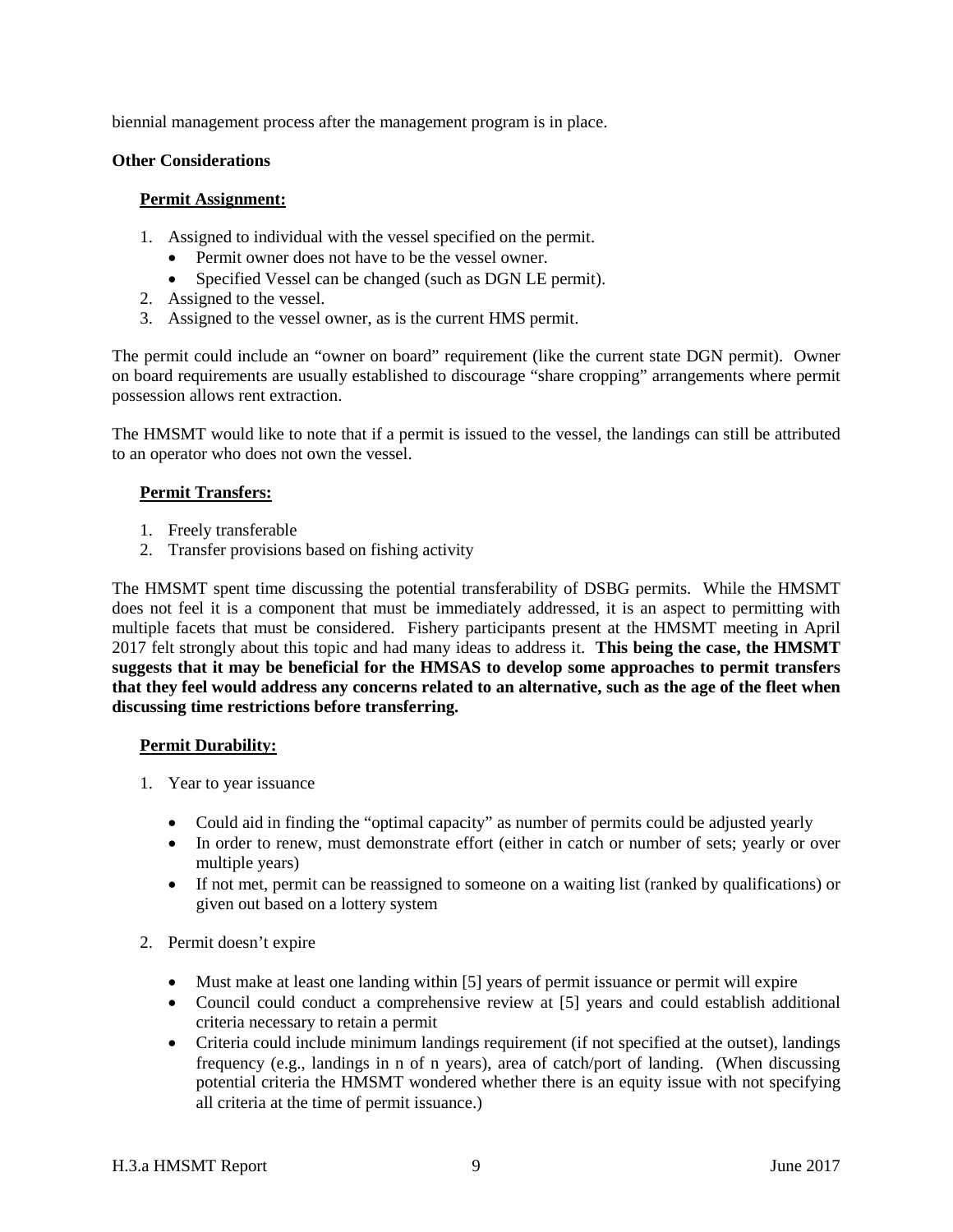biennial management process after the management program is in place.

### <span id="page-8-0"></span>**Other Considerations**

### <span id="page-8-1"></span>**Permit Assignment:**

- 1. Assigned to individual with the vessel specified on the permit.
	- Permit owner does not have to be the vessel owner.
	- Specified Vessel can be changed (such as DGN LE permit).
- 2. Assigned to the vessel.
- 3. Assigned to the vessel owner, as is the current HMS permit.

The permit could include an "owner on board" requirement (like the current state DGN permit). Owner on board requirements are usually established to discourage "share cropping" arrangements where permit possession allows rent extraction.

The HMSMT would like to note that if a permit is issued to the vessel, the landings can still be attributed to an operator who does not own the vessel.

# <span id="page-8-2"></span>**Permit Transfers:**

- 1. Freely transferable
- 2. Transfer provisions based on fishing activity

The HMSMT spent time discussing the potential transferability of DSBG permits. While the HMSMT does not feel it is a component that must be immediately addressed, it is an aspect to permitting with multiple facets that must be considered. Fishery participants present at the HMSMT meeting in April 2017 felt strongly about this topic and had many ideas to address it. **This being the case, the HMSMT suggests that it may be beneficial for the HMSAS to develop some approaches to permit transfers that they feel would address any concerns related to an alternative, such as the age of the fleet when discussing time restrictions before transferring.**

## <span id="page-8-3"></span>**Permit Durability:**

- 1. Year to year issuance
	- Could aid in finding the "optimal capacity" as number of permits could be adjusted yearly
	- In order to renew, must demonstrate effort (either in catch or number of sets; yearly or over multiple years)
	- If not met, permit can be reassigned to someone on a waiting list (ranked by qualifications) or given out based on a lottery system
- 2. Permit doesn't expire
	- Must make at least one landing within [5] years of permit issuance or permit will expire
	- Council could conduct a comprehensive review at [5] years and could establish additional criteria necessary to retain a permit
	- Criteria could include minimum landings requirement (if not specified at the outset), landings frequency (e.g., landings in n of n years), area of catch/port of landing. (When discussing potential criteria the HMSMT wondered whether there is an equity issue with not specifying all criteria at the time of permit issuance.)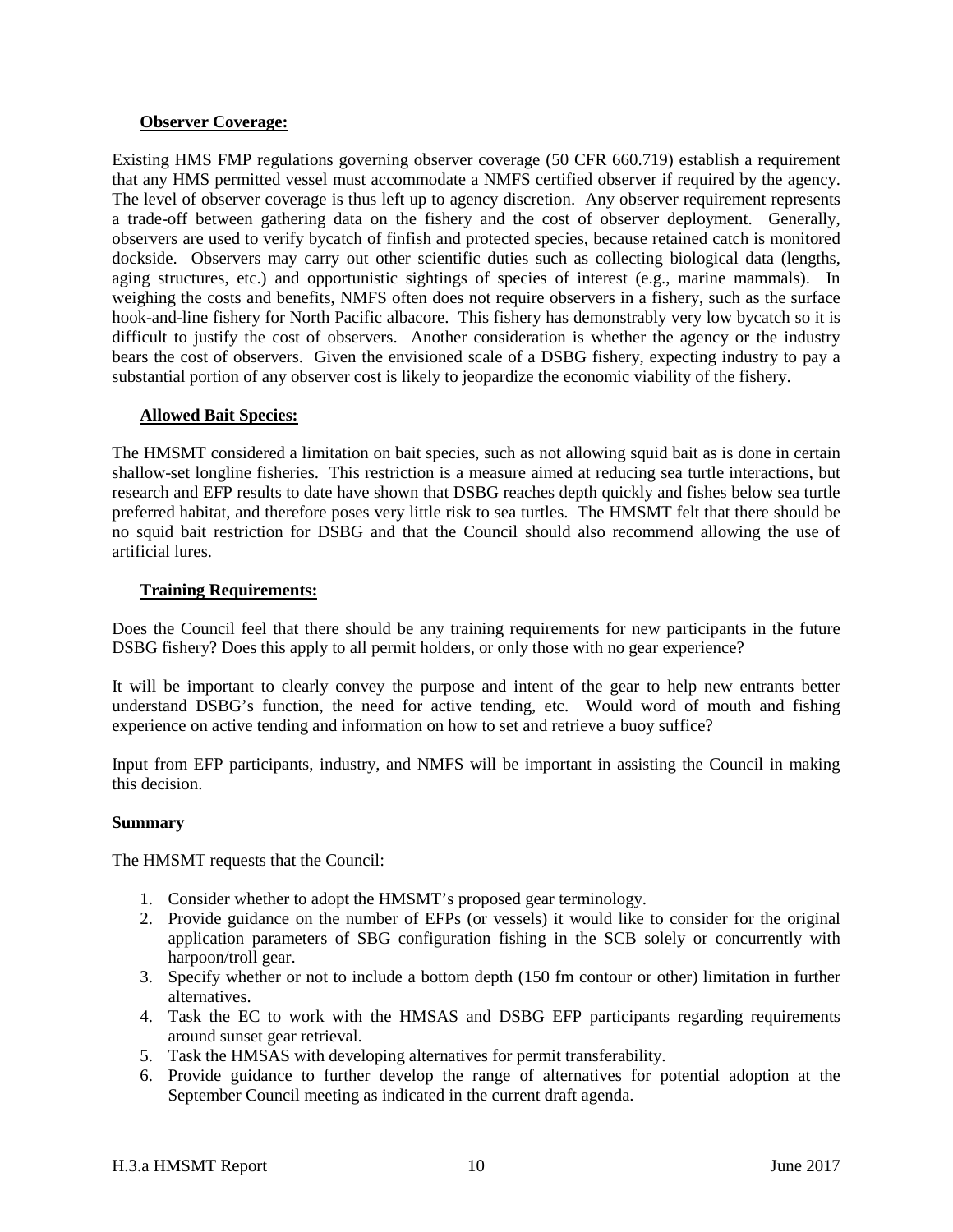## <span id="page-9-0"></span>**Observer Coverage:**

Existing HMS FMP regulations governing observer coverage (50 CFR 660.719) establish a requirement that any HMS permitted vessel must accommodate a NMFS certified observer if required by the agency. The level of observer coverage is thus left up to agency discretion. Any observer requirement represents a trade-off between gathering data on the fishery and the cost of observer deployment. Generally, observers are used to verify bycatch of finfish and protected species, because retained catch is monitored dockside. Observers may carry out other scientific duties such as collecting biological data (lengths, aging structures, etc.) and opportunistic sightings of species of interest (e.g., marine mammals). In weighing the costs and benefits, NMFS often does not require observers in a fishery, such as the surface hook-and-line fishery for North Pacific albacore. This fishery has demonstrably very low bycatch so it is difficult to justify the cost of observers. Another consideration is whether the agency or the industry bears the cost of observers. Given the envisioned scale of a DSBG fishery, expecting industry to pay a substantial portion of any observer cost is likely to jeopardize the economic viability of the fishery.

## <span id="page-9-1"></span>**Allowed Bait Species:**

The HMSMT considered a limitation on bait species, such as not allowing squid bait as is done in certain shallow-set longline fisheries. This restriction is a measure aimed at reducing sea turtle interactions, but research and EFP results to date have shown that DSBG reaches depth quickly and fishes below sea turtle preferred habitat, and therefore poses very little risk to sea turtles. The HMSMT felt that there should be no squid bait restriction for DSBG and that the Council should also recommend allowing the use of artificial lures.

# <span id="page-9-2"></span>**Training Requirements:**

Does the Council feel that there should be any training requirements for new participants in the future DSBG fishery? Does this apply to all permit holders, or only those with no gear experience?

It will be important to clearly convey the purpose and intent of the gear to help new entrants better understand DSBG's function, the need for active tending, etc. Would word of mouth and fishing experience on active tending and information on how to set and retrieve a buoy suffice?

Input from EFP participants, industry, and NMFS will be important in assisting the Council in making this decision.

## <span id="page-9-3"></span>**Summary**

The HMSMT requests that the Council:

- 1. Consider whether to adopt the HMSMT's proposed gear terminology.
- 2. Provide guidance on the number of EFPs (or vessels) it would like to consider for the original application parameters of SBG configuration fishing in the SCB solely or concurrently with harpoon/troll gear.
- 3. Specify whether or not to include a bottom depth (150 fm contour or other) limitation in further alternatives.
- 4. Task the EC to work with the HMSAS and DSBG EFP participants regarding requirements around sunset gear retrieval.
- 5. Task the HMSAS with developing alternatives for permit transferability.
- 6. Provide guidance to further develop the range of alternatives for potential adoption at the September Council meeting as indicated in the current draft agenda.